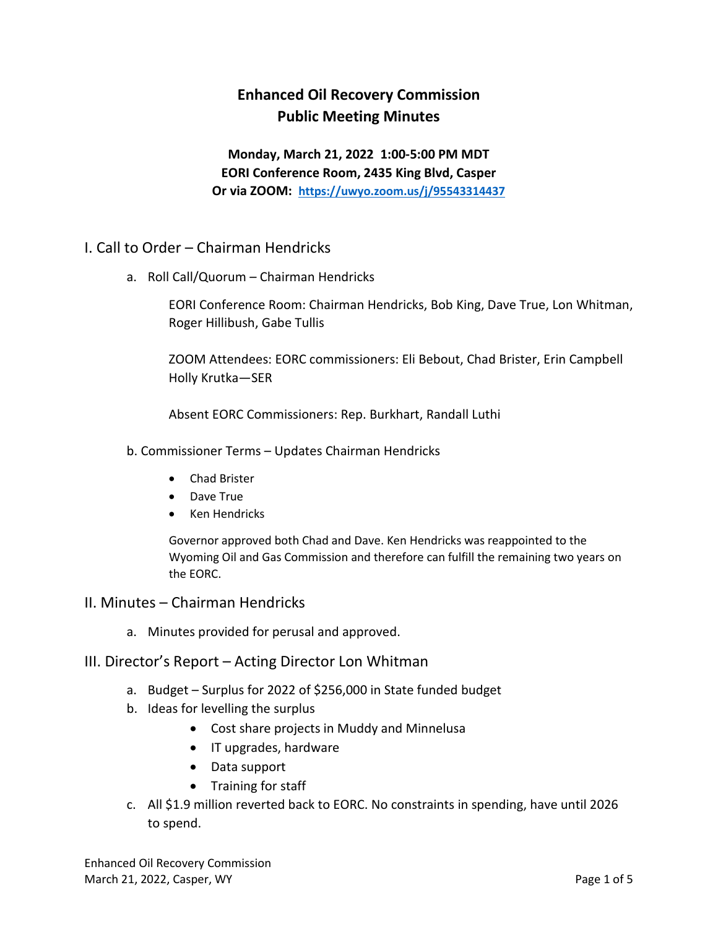# **Enhanced Oil Recovery Commission Public Meeting Minutes**

**Monday, March 21, 2022 1:00-5:00 PM MDT EORI Conference Room, 2435 King Blvd, Casper Or via ZOOM: <https://uwyo.zoom.us/j/95543314437>**

- I. Call to Order Chairman Hendricks
	- a. Roll Call/Quorum Chairman Hendricks

EORI Conference Room: Chairman Hendricks, Bob King, Dave True, Lon Whitman, Roger Hillibush, Gabe Tullis

ZOOM Attendees: EORC commissioners: Eli Bebout, Chad Brister, Erin Campbell Holly Krutka—SER

Absent EORC Commissioners: Rep. Burkhart, Randall Luthi

- b. Commissioner Terms Updates Chairman Hendricks
	- Chad Brister
	- Dave True
	- Ken Hendricks

Governor approved both Chad and Dave. Ken Hendricks was reappointed to the Wyoming Oil and Gas Commission and therefore can fulfill the remaining two years on the EORC.

### II. Minutes – Chairman Hendricks

a. Minutes provided for perusal and approved.

#### III. Director's Report – Acting Director Lon Whitman

- a. Budget Surplus for 2022 of \$256,000 in State funded budget
- b. Ideas for levelling the surplus
	- Cost share projects in Muddy and Minnelusa
	- IT upgrades, hardware
	- Data support
	- Training for staff
- c. All \$1.9 million reverted back to EORC. No constraints in spending, have until 2026 to spend.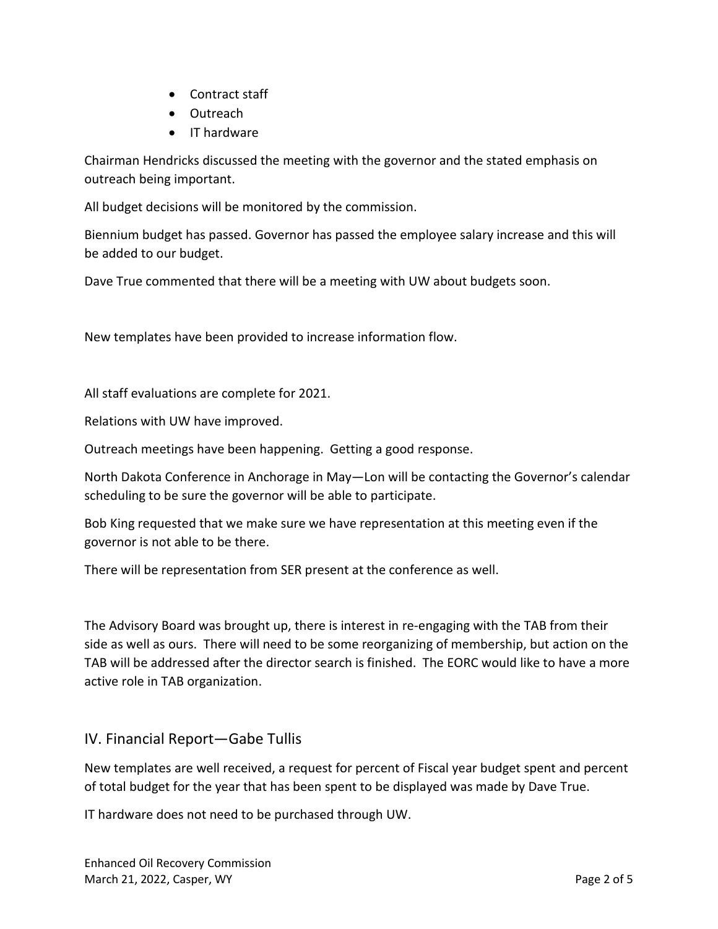- Contract staff
- Outreach
- IT hardware

Chairman Hendricks discussed the meeting with the governor and the stated emphasis on outreach being important.

All budget decisions will be monitored by the commission.

Biennium budget has passed. Governor has passed the employee salary increase and this will be added to our budget.

Dave True commented that there will be a meeting with UW about budgets soon.

New templates have been provided to increase information flow.

All staff evaluations are complete for 2021.

Relations with UW have improved.

Outreach meetings have been happening. Getting a good response.

North Dakota Conference in Anchorage in May—Lon will be contacting the Governor's calendar scheduling to be sure the governor will be able to participate.

Bob King requested that we make sure we have representation at this meeting even if the governor is not able to be there.

There will be representation from SER present at the conference as well.

The Advisory Board was brought up, there is interest in re-engaging with the TAB from their side as well as ours. There will need to be some reorganizing of membership, but action on the TAB will be addressed after the director search is finished. The EORC would like to have a more active role in TAB organization.

## IV. Financial Report—Gabe Tullis

New templates are well received, a request for percent of Fiscal year budget spent and percent of total budget for the year that has been spent to be displayed was made by Dave True.

IT hardware does not need to be purchased through UW.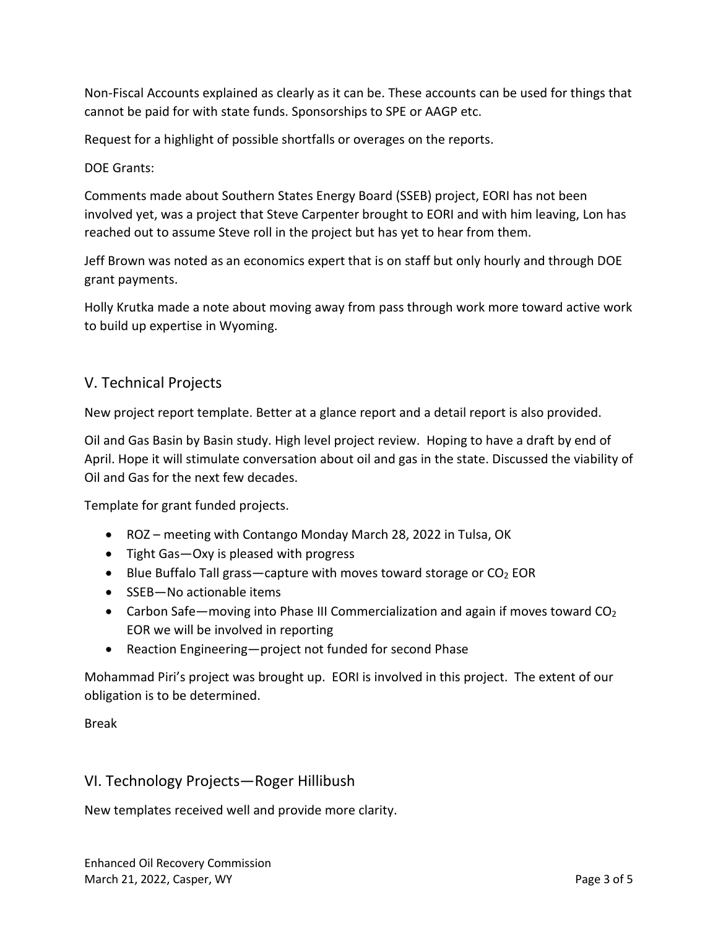Non-Fiscal Accounts explained as clearly as it can be. These accounts can be used for things that cannot be paid for with state funds. Sponsorships to SPE or AAGP etc.

Request for a highlight of possible shortfalls or overages on the reports.

#### DOE Grants:

Comments made about Southern States Energy Board (SSEB) project, EORI has not been involved yet, was a project that Steve Carpenter brought to EORI and with him leaving, Lon has reached out to assume Steve roll in the project but has yet to hear from them.

Jeff Brown was noted as an economics expert that is on staff but only hourly and through DOE grant payments.

Holly Krutka made a note about moving away from pass through work more toward active work to build up expertise in Wyoming.

## V. Technical Projects

New project report template. Better at a glance report and a detail report is also provided.

Oil and Gas Basin by Basin study. High level project review. Hoping to have a draft by end of April. Hope it will stimulate conversation about oil and gas in the state. Discussed the viability of Oil and Gas for the next few decades.

Template for grant funded projects.

- ROZ meeting with Contango Monday March 28, 2022 in Tulsa, OK
- Tight Gas—Oxy is pleased with progress
- Blue Buffalo Tall grass—capture with moves toward storage or  $CO<sub>2</sub>$  EOR
- SSEB-No actionable items
- Carbon Safe—moving into Phase III Commercialization and again if moves toward  $CO<sub>2</sub>$ EOR we will be involved in reporting
- Reaction Engineering—project not funded for second Phase

Mohammad Piri's project was brought up. EORI is involved in this project. The extent of our obligation is to be determined.

#### Break

## VI. Technology Projects—Roger Hillibush

New templates received well and provide more clarity.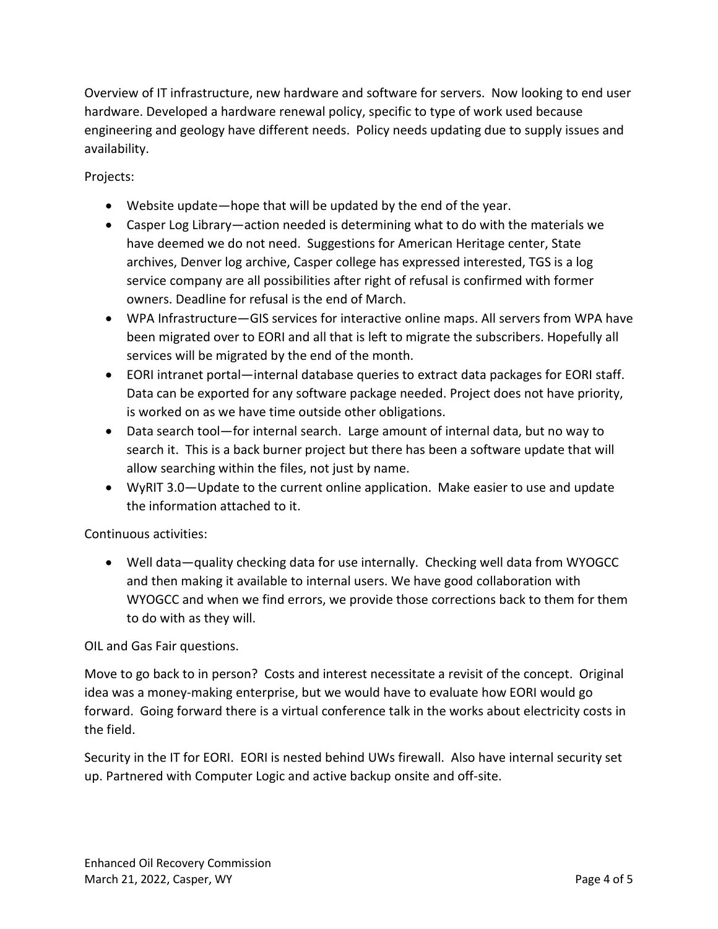Overview of IT infrastructure, new hardware and software for servers. Now looking to end user hardware. Developed a hardware renewal policy, specific to type of work used because engineering and geology have different needs. Policy needs updating due to supply issues and availability.

Projects:

- Website update—hope that will be updated by the end of the year.
- Casper Log Library—action needed is determining what to do with the materials we have deemed we do not need. Suggestions for American Heritage center, State archives, Denver log archive, Casper college has expressed interested, TGS is a log service company are all possibilities after right of refusal is confirmed with former owners. Deadline for refusal is the end of March.
- WPA Infrastructure—GIS services for interactive online maps. All servers from WPA have been migrated over to EORI and all that is left to migrate the subscribers. Hopefully all services will be migrated by the end of the month.
- EORI intranet portal—internal database queries to extract data packages for EORI staff. Data can be exported for any software package needed. Project does not have priority, is worked on as we have time outside other obligations.
- Data search tool—for internal search. Large amount of internal data, but no way to search it. This is a back burner project but there has been a software update that will allow searching within the files, not just by name.
- WyRIT 3.0—Update to the current online application. Make easier to use and update the information attached to it.

#### Continuous activities:

• Well data—quality checking data for use internally. Checking well data from WYOGCC and then making it available to internal users. We have good collaboration with WYOGCC and when we find errors, we provide those corrections back to them for them to do with as they will.

OIL and Gas Fair questions.

Move to go back to in person? Costs and interest necessitate a revisit of the concept. Original idea was a money-making enterprise, but we would have to evaluate how EORI would go forward. Going forward there is a virtual conference talk in the works about electricity costs in the field.

Security in the IT for EORI. EORI is nested behind UWs firewall. Also have internal security set up. Partnered with Computer Logic and active backup onsite and off-site.